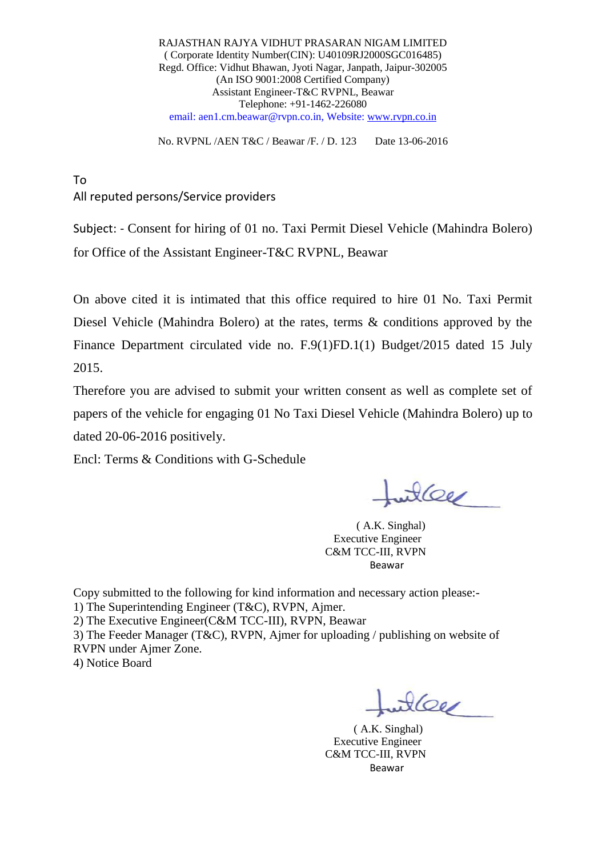RAJASTHAN RAJYA VIDHUT PRASARAN NIGAM LIMITED ( Corporate Identity Number(CIN): U40109RJ2000SGC016485) Regd. Office: Vidhut Bhawan, Jyoti Nagar, Janpath, Jaipur-302005 (An ISO 9001:2008 Certified Company) Assistant Engineer-T&C RVPNL, Beawar Telephone: +91-1462-226080 email: aen1.cm.beawar@rvpn.co.in, Website: [www.rvpn.co.in](http://www.rvpn.co.in/)

No. RVPNL /AEN T&C / Beawar /F. / D. 123 Date 13-06-2016

To All reputed persons/Service providers

Subject: - Consent for hiring of 01 no. Taxi Permit Diesel Vehicle (Mahindra Bolero) for Office of the Assistant Engineer-T&C RVPNL, Beawar

On above cited it is intimated that this office required to hire 01 No. Taxi Permit Diesel Vehicle (Mahindra Bolero) at the rates, terms & conditions approved by the Finance Department circulated vide no. F.9(1)FD.1(1) Budget/2015 dated 15 July 2015.

Therefore you are advised to submit your written consent as well as complete set of papers of the vehicle for engaging 01 No Taxi Diesel Vehicle (Mahindra Bolero) up to dated 20-06-2016 positively.

Encl: Terms & Conditions with G-Schedule

willer

 ( A.K. Singhal) Executive Engineer C&M TCC-III, RVPN and the contract of the contract of the Beaware Beaware of the Second Second Second Second Second Second Second Second Second Second Second Second Second Second Second Second Second Second Second Second Second Second Secon

Copy submitted to the following for kind information and necessary action please:- 1) The Superintending Engineer (T&C), RVPN, Ajmer.

2) The Executive Engineer(C&M TCC-III), RVPN, Beawar

3) The Feeder Manager (T&C), RVPN, Ajmer for uploading / publishing on website of RVPN under Ajmer Zone.

4) Notice Board

 $\frac{1}{2}$ 

 ( A.K. Singhal) Executive Engineer C&M TCC-III, RVPN **Beaware and the contract of the Second Second Second Second Second Second Second Second Second Second Second S**